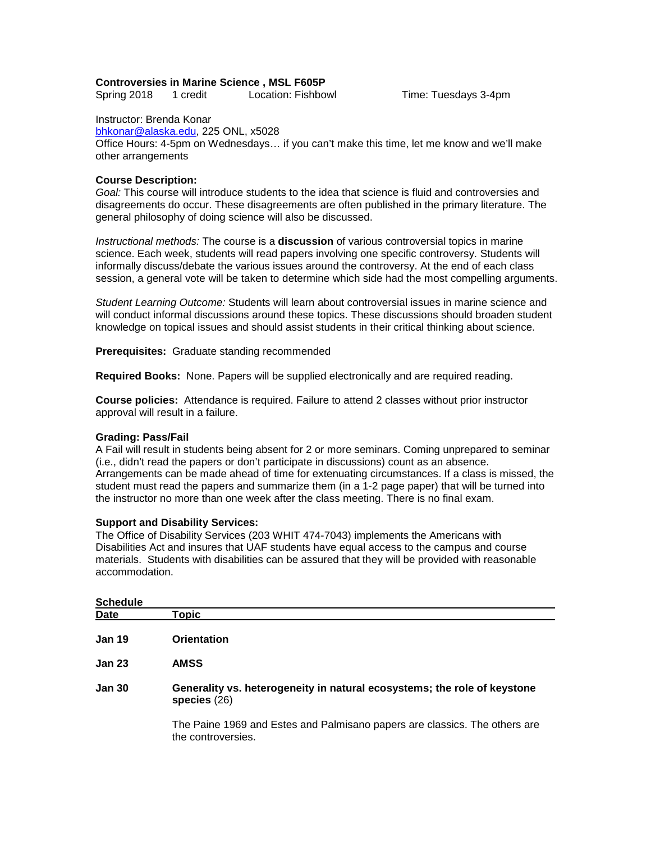### **Controversies in Marine Science , MSL F605P**

Spring 2018 1 credit Location: Fishbowl Time: Tuesdays 3-4pm

Instructor: Brenda Konar

[bhkonar@alaska.edu,](mailto:bhkonar@alaska.edu) 225 ONL, x5028 Office Hours: 4-5pm on Wednesdays… if you can't make this time, let me know and we'll make other arrangements

### **Course Description:**

*Goal:* This course will introduce students to the idea that science is fluid and controversies and disagreements do occur. These disagreements are often published in the primary literature. The general philosophy of doing science will also be discussed.

*Instructional methods:* The course is a **discussion** of various controversial topics in marine science. Each week, students will read papers involving one specific controversy. Students will informally discuss/debate the various issues around the controversy. At the end of each class session, a general vote will be taken to determine which side had the most compelling arguments.

*Student Learning Outcome:* Students will learn about controversial issues in marine science and will conduct informal discussions around these topics. These discussions should broaden student knowledge on topical issues and should assist students in their critical thinking about science.

**Prerequisites:** Graduate standing recommended

**Required Books:** None. Papers will be supplied electronically and are required reading.

**Course policies:** Attendance is required. Failure to attend 2 classes without prior instructor approval will result in a failure.

## **Grading: Pass/Fail**

A Fail will result in students being absent for 2 or more seminars. Coming unprepared to seminar (i.e., didn't read the papers or don't participate in discussions) count as an absence. Arrangements can be made ahead of time for extenuating circumstances. If a class is missed, the student must read the papers and summarize them (in a 1-2 page paper) that will be turned into the instructor no more than one week after the class meeting. There is no final exam.

## **Support and Disability Services:**

The Office of Disability Services (203 WHIT 474-7043) implements the Americans with Disabilities Act and insures that UAF students have equal access to the campus and course materials. Students with disabilities can be assured that they will be provided with reasonable accommodation.

| <b>Schedule</b> |                                                                                                  |
|-----------------|--------------------------------------------------------------------------------------------------|
| Date            | Topic                                                                                            |
| <b>Jan 19</b>   | <b>Orientation</b>                                                                               |
| <b>Jan 23</b>   | <b>AMSS</b>                                                                                      |
| <b>Jan 30</b>   | Generality vs. heterogeneity in natural ecosystems; the role of keystone<br>species $(26)$       |
|                 | The Paine 1969 and Estes and Palmisano papers are classics. The others are<br>the controversies. |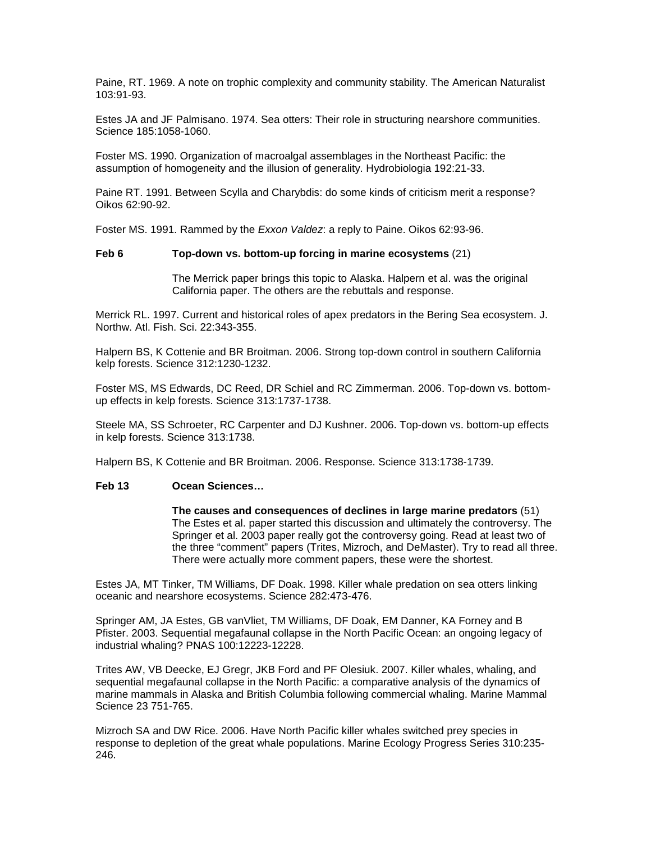Paine, RT. 1969. A note on trophic complexity and community stability. The American Naturalist 103:91-93.

Estes JA and JF Palmisano. 1974. Sea otters: Their role in structuring nearshore communities. Science 185:1058-1060.

Foster MS. 1990. Organization of macroalgal assemblages in the Northeast Pacific: the assumption of homogeneity and the illusion of generality. Hydrobiologia 192:21-33.

Paine RT. 1991. Between Scylla and Charybdis: do some kinds of criticism merit a response? Oikos 62:90-92.

Foster MS. 1991. Rammed by the *Exxon Valdez*: a reply to Paine. Oikos 62:93-96.

### **Feb 6 Top-down vs. bottom-up forcing in marine ecosystems** (21)

The Merrick paper brings this topic to Alaska. Halpern et al. was the original California paper. The others are the rebuttals and response.

Merrick RL. 1997. Current and historical roles of apex predators in the Bering Sea ecosystem. J. Northw. Atl. Fish. Sci. 22:343-355.

Halpern BS, K Cottenie and BR Broitman. 2006. Strong top-down control in southern California kelp forests. Science 312:1230-1232.

Foster MS, MS Edwards, DC Reed, DR Schiel and RC Zimmerman. 2006. Top-down vs. bottomup effects in kelp forests. Science 313:1737-1738.

Steele MA, SS Schroeter, RC Carpenter and DJ Kushner. 2006. Top-down vs. bottom-up effects in kelp forests. Science 313:1738.

Halpern BS, K Cottenie and BR Broitman. 2006. Response. Science 313:1738-1739.

## **Feb 13 Ocean Sciences…**

**The causes and consequences of declines in large marine predators** (51) The Estes et al. paper started this discussion and ultimately the controversy. The Springer et al. 2003 paper really got the controversy going. Read at least two of the three "comment" papers (Trites, Mizroch, and DeMaster). Try to read all three. There were actually more comment papers, these were the shortest.

Estes JA, MT Tinker, TM Williams, DF Doak. 1998. Killer whale predation on sea otters linking oceanic and nearshore ecosystems. Science 282:473-476.

Springer AM, JA Estes, GB vanVliet, TM Williams, DF Doak, EM Danner, KA Forney and B Pfister. 2003. Sequential megafaunal collapse in the North Pacific Ocean: an ongoing legacy of industrial whaling? PNAS 100:12223-12228.

Trites AW, VB Deecke, EJ Gregr, JKB Ford and PF Olesiuk. 2007. Killer whales, whaling, and sequential megafaunal collapse in the North Pacific: a comparative analysis of the dynamics of marine mammals in Alaska and British Columbia following commercial whaling. Marine Mammal Science 23 751-765.

Mizroch SA and DW Rice. 2006. Have North Pacific killer whales switched prey species in response to depletion of the great whale populations. Marine Ecology Progress Series 310:235- 246.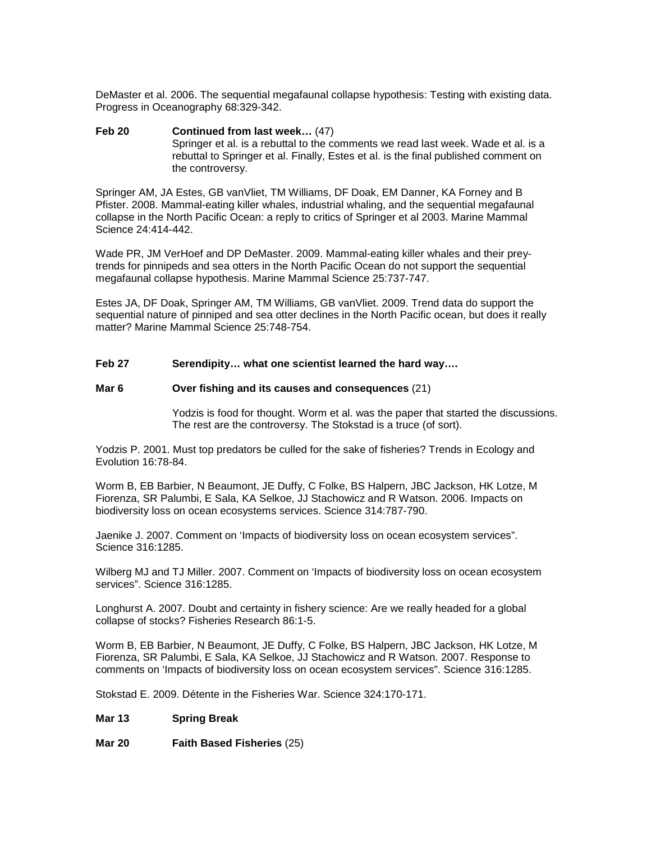DeMaster et al. 2006. The sequential megafaunal collapse hypothesis: Testing with existing data. Progress in Oceanography 68:329-342.

**Feb 20 Continued from last week…** (47) Springer et al. is a rebuttal to the comments we read last week. Wade et al. is a rebuttal to Springer et al. Finally, Estes et al. is the final published comment on the controversy.

Springer AM, JA Estes, GB vanVliet, TM Williams, DF Doak, EM Danner, KA Forney and B Pfister. 2008. Mammal-eating killer whales, industrial whaling, and the sequential megafaunal collapse in the North Pacific Ocean: a reply to critics of Springer et al 2003. Marine Mammal Science 24:414-442.

Wade PR, JM VerHoef and DP DeMaster. 2009. Mammal-eating killer whales and their preytrends for pinnipeds and sea otters in the North Pacific Ocean do not support the sequential megafaunal collapse hypothesis. Marine Mammal Science 25:737-747.

Estes JA, DF Doak, Springer AM, TM Williams, GB vanVliet. 2009. Trend data do support the sequential nature of pinniped and sea otter declines in the North Pacific ocean, but does it really matter? Marine Mammal Science 25:748-754.

# **Feb 27 Serendipity… what one scientist learned the hard way….**

#### **Mar 6 Over fishing and its causes and consequences** (21)

Yodzis is food for thought. Worm et al. was the paper that started the discussions. The rest are the controversy. The Stokstad is a truce (of sort).

Yodzis P. 2001. Must top predators be culled for the sake of fisheries? Trends in Ecology and Evolution 16:78-84.

Worm B, EB Barbier, N Beaumont, JE Duffy, C Folke, BS Halpern, JBC Jackson, HK Lotze, M Fiorenza, SR Palumbi, E Sala, KA Selkoe, JJ Stachowicz and R Watson. 2006. Impacts on biodiversity loss on ocean ecosystems services. Science 314:787-790.

Jaenike J. 2007. Comment on 'Impacts of biodiversity loss on ocean ecosystem services". Science 316:1285.

Wilberg MJ and TJ Miller. 2007. Comment on 'Impacts of biodiversity loss on ocean ecosystem services". Science 316:1285.

Longhurst A. 2007. Doubt and certainty in fishery science: Are we really headed for a global collapse of stocks? Fisheries Research 86:1-5.

Worm B, EB Barbier, N Beaumont, JE Duffy, C Folke, BS Halpern, JBC Jackson, HK Lotze, M Fiorenza, SR Palumbi, E Sala, KA Selkoe, JJ Stachowicz and R Watson. 2007. Response to comments on 'Impacts of biodiversity loss on ocean ecosystem services". Science 316:1285.

Stokstad E. 2009. Détente in the Fisheries War. Science 324:170-171.

#### **Mar 13 Spring Break**

**Mar 20 Faith Based Fisheries** (25)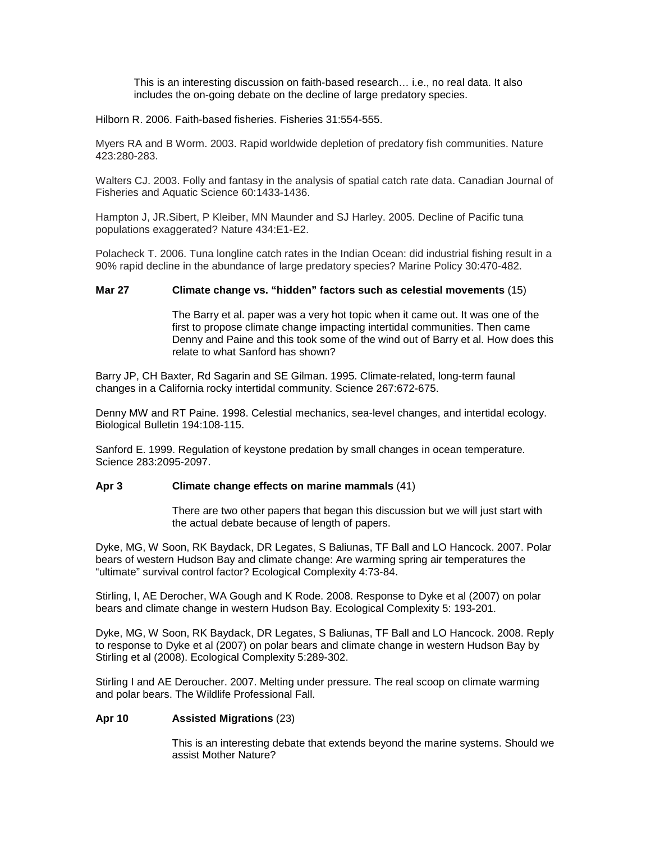This is an interesting discussion on faith-based research… i.e., no real data. It also includes the on-going debate on the decline of large predatory species.

Hilborn R. 2006. Faith-based fisheries. Fisheries 31:554-555.

Myers RA and B Worm. 2003. Rapid worldwide depletion of predatory fish communities. Nature 423:280-283.

Walters CJ. 2003. Folly and fantasy in the analysis of spatial catch rate data. Canadian Journal of Fisheries and Aquatic Science 60:1433-1436.

Hampton J, JR.Sibert, P Kleiber, MN Maunder and SJ Harley. 2005. Decline of Pacific tuna populations exaggerated? Nature 434:E1-E2.

Polacheck T. 2006. Tuna longline catch rates in the Indian Ocean: did industrial fishing result in a 90% rapid decline in the abundance of large predatory species? Marine Policy 30:470-482.

# **Mar 27 Climate change vs. "hidden" factors such as celestial movements** (15)

The Barry et al. paper was a very hot topic when it came out. It was one of the first to propose climate change impacting intertidal communities. Then came Denny and Paine and this took some of the wind out of Barry et al. How does this relate to what Sanford has shown?

Barry JP, CH Baxter, Rd Sagarin and SE Gilman. 1995. Climate-related, long-term faunal changes in a California rocky intertidal community. Science 267:672-675.

Denny MW and RT Paine. 1998. Celestial mechanics, sea-level changes, and intertidal ecology. Biological Bulletin 194:108-115.

Sanford E. 1999. Regulation of keystone predation by small changes in ocean temperature. Science 283:2095-2097.

## **Apr 3 Climate change effects on marine mammals** (41)

There are two other papers that began this discussion but we will just start with the actual debate because of length of papers.

Dyke, MG, W Soon, RK Baydack, DR Legates, S Baliunas, TF Ball and LO Hancock. 2007. Polar bears of western Hudson Bay and climate change: Are warming spring air temperatures the "ultimate" survival control factor? Ecological Complexity 4:73-84.

Stirling, I, AE Derocher, WA Gough and K Rode. 2008. Response to Dyke et al (2007) on polar bears and climate change in western Hudson Bay. Ecological Complexity 5: 193-201.

Dyke, MG, W Soon, RK Baydack, DR Legates, S Baliunas, TF Ball and LO Hancock. 2008. Reply to response to Dyke et al (2007) on polar bears and climate change in western Hudson Bay by Stirling et al (2008). Ecological Complexity 5:289-302.

Stirling I and AE Deroucher. 2007. Melting under pressure. The real scoop on climate warming and polar bears. The Wildlife Professional Fall.

## **Apr 10 Assisted Migrations** (23)

This is an interesting debate that extends beyond the marine systems. Should we assist Mother Nature?